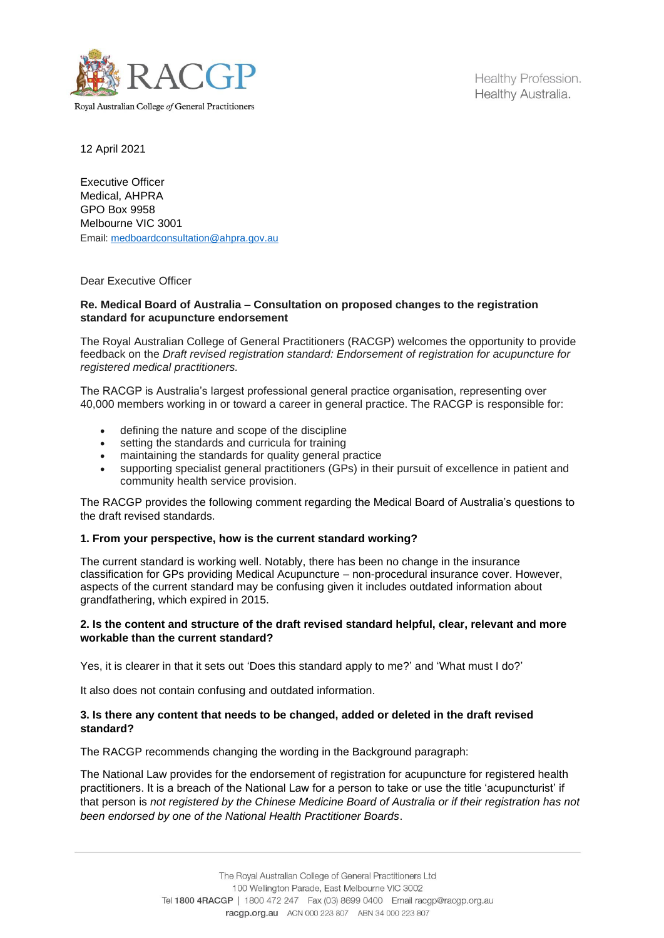

Healthy Profession. Healthy Australia.

12 April 2021

Executive Officer Medical, AHPRA GPO Box 9958 Melbourne VIC 3001 Email: medboardconsultation@ahpra.gov.au

Dear Executive Officer

#### **Re. Medical Board of Australia** – **Consultation on proposed changes to the registration standard for acupuncture endorsement**

The Royal Australian College of General Practitioners (RACGP) welcomes the opportunity to provide feedback on the *Draft revised registration standard: Endorsement of registration for acupuncture for registered medical practitioners.*

The RACGP is Australia's largest professional general practice organisation, representing over 40,000 members working in or toward a career in general practice. The RACGP is responsible for:

- defining the nature and scope of the discipline
- setting the standards and curricula for training
- maintaining the standards for quality general practice
- supporting specialist general practitioners (GPs) in their pursuit of excellence in patient and community health service provision.

The RACGP provides the following comment regarding the Medical Board of Australia's questions to the draft revised standards.

# **1. From your perspective, how is the current standard working?**

The current standard is working well. Notably, there has been no change in the insurance classification for GPs providing Medical Acupuncture – non-procedural insurance cover. However, aspects of the current standard may be confusing given it includes outdated information about grandfathering, which expired in 2015.

### **2. Is the content and structure of the draft revised standard helpful, clear, relevant and more workable than the current standard?**

Yes, it is clearer in that it sets out 'Does this standard apply to me?' and 'What must I do?'

It also does not contain confusing and outdated information.

### **3. Is there any content that needs to be changed, added or deleted in the draft revised standard?**

The RACGP recommends changing the wording in the Background paragraph:

The National Law provides for the endorsement of registration for acupuncture for registered health practitioners. It is a breach of the National Law for a person to take or use the title 'acupuncturist' if that person is *not registered by the Chinese Medicine Board of Australia or if their registration has not been endorsed by one of the National Health Practitioner Boards*.